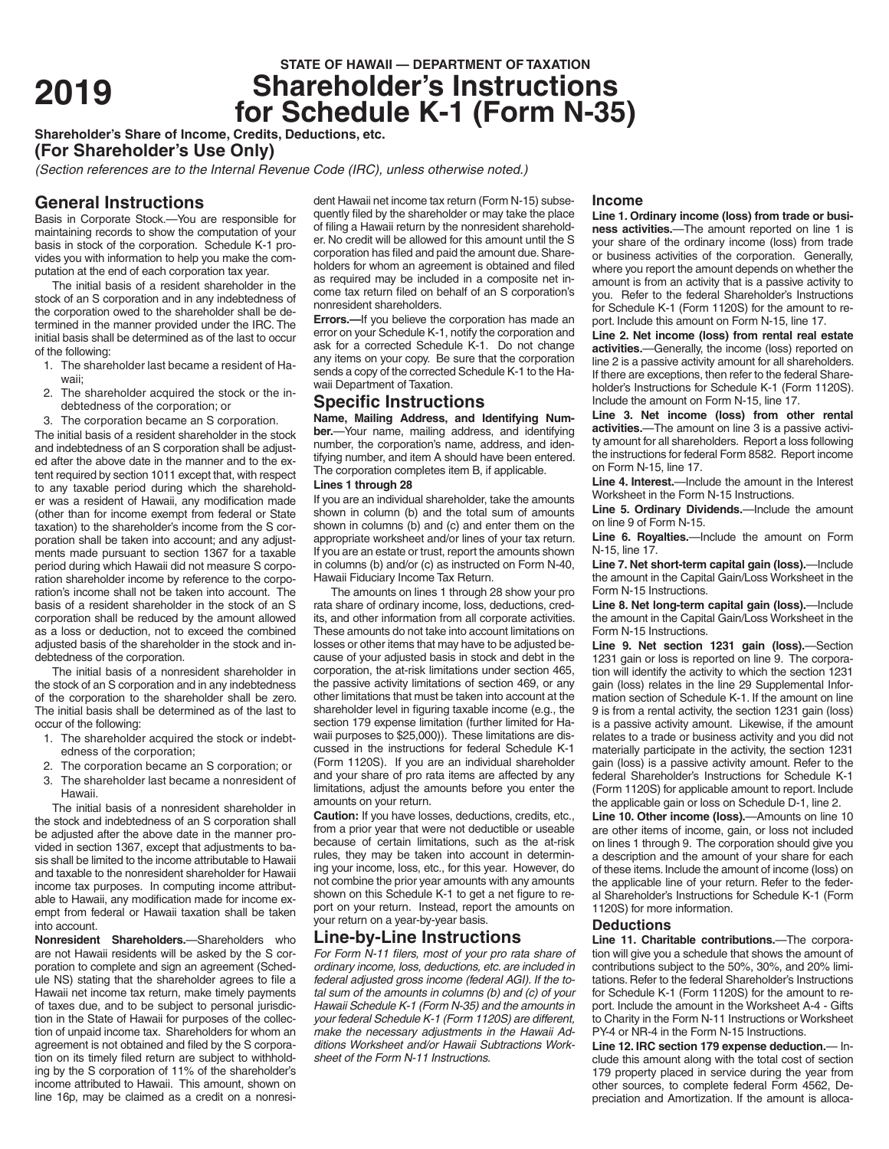# **STATE OF HAWAII — DEPARTMENT OF TAXATION**<br>**Shareholder's Instructions <sup>2019</sup> Shareholder's Instructions for Schedule K-1 (Form N-35)**

**Shareholder's Share of Income, Credits, Deductions, etc.**

**(For Shareholder's Use Only)**

*(Section references are to the Internal Revenue Code (IRC), unless otherwise noted.)*

## **General Instructions**

Basis in Corporate Stock.—You are responsible for maintaining records to show the computation of your basis in stock of the corporation. Schedule K-1 provides you with information to help you make the computation at the end of each corporation tax year.

The initial basis of a resident shareholder in the stock of an S corporation and in any indebtedness of the corporation owed to the shareholder shall be determined in the manner provided under the IRC. The initial basis shall be determined as of the last to occur of the following:

- 1. The shareholder last became a resident of Hawaii;
- 2. The shareholder acquired the stock or the indebtedness of the corporation; or
- 3. The corporation became an S corporation.

The initial basis of a resident shareholder in the stock and indebtedness of an S corporation shall be adjusted after the above date in the manner and to the extent required by section 1011 except that, with respect to any taxable period during which the shareholder was a resident of Hawaii, any modification made (other than for income exempt from federal or State taxation) to the shareholder's income from the S corporation shall be taken into account; and any adjustments made pursuant to section 1367 for a taxable period during which Hawaii did not measure S corporation shareholder income by reference to the corporation's income shall not be taken into account. The basis of a resident shareholder in the stock of an S corporation shall be reduced by the amount allowed as a loss or deduction, not to exceed the combined adjusted basis of the shareholder in the stock and indebtedness of the corporation.

The initial basis of a nonresident shareholder in the stock of an S corporation and in any indebtedness of the corporation to the shareholder shall be zero. The initial basis shall be determined as of the last to occur of the following:

- 1. The shareholder acquired the stock or indebtedness of the corporation;
- 2. The corporation became an S corporation; or
- 3. The shareholder last became a nonresident of Hawaii.

The initial basis of a nonresident shareholder in the stock and indebtedness of an S corporation shall be adjusted after the above date in the manner provided in section 1367, except that adjustments to basis shall be limited to the income attributable to Hawaii and taxable to the nonresident shareholder for Hawaii income tax purposes. In computing income attributable to Hawaii, any modification made for income exempt from federal or Hawaii taxation shall be taken into account.

**Nonresident Shareholders.**—Shareholders who are not Hawaii residents will be asked by the S corporation to complete and sign an agreement (Schedule NS) stating that the shareholder agrees to file a Hawaii net income tax return, make timely payments of taxes due, and to be subject to personal jurisdiction in the State of Hawaii for purposes of the collection of unpaid income tax. Shareholders for whom an agreement is not obtained and filed by the S corporation on its timely filed return are subject to withholding by the S corporation of 11% of the shareholder's income attributed to Hawaii. This amount, shown on line 16p, may be claimed as a credit on a nonresi-

dent Hawaii net income tax return (Form N-15) subsequently filed by the shareholder or may take the place of filing a Hawaii return by the nonresident shareholder. No credit will be allowed for this amount until the S corporation has filed and paid the amount due. Shareholders for whom an agreement is obtained and filed as required may be included in a composite net income tax return filed on behalf of an S corporation's nonresident shareholders.

**Errors.**—If you believe the corporation has made an error on your Schedule K-1, notify the corporation and ask for a corrected Schedule K-1. Do not change any items on your copy. Be sure that the corporation sends a copy of the corrected Schedule K-1 to the Hawaii Department of Taxation.

## **Specific Instructions**

**Name, Mailing Address, and Identifying Number.**—Your name, mailing address, and identifying number, the corporation's name, address, and identifying number, and item A should have been entered. The corporation completes item B, if applicable.

## **Lines 1 through 28**

If you are an individual shareholder, take the amounts shown in column (b) and the total sum of amounts shown in columns (b) and (c) and enter them on the appropriate worksheet and/or lines of your tax return. If you are an estate or trust, report the amounts shown in columns (b) and/or (c) as instructed on Form N-40, Hawaii Fiduciary Income Tax Return.

The amounts on lines 1 through 28 show your pro rata share of ordinary income, loss, deductions, credits, and other information from all corporate activities. These amounts do not take into account limitations on losses or other items that may have to be adjusted because of your adjusted basis in stock and debt in the corporation, the at-risk limitations under section 465, the passive activity limitations of section 469, or any other limitations that must be taken into account at the shareholder level in figuring taxable income (e.g., the section 179 expense limitation (further limited for Hawaii purposes to \$25,000)). These limitations are discussed in the instructions for federal Schedule K-1 (Form 1120S). If you are an individual shareholder and your share of pro rata items are affected by any limitations, adjust the amounts before you enter the amounts on your return.

**Caution:** If you have losses, deductions, credits, etc., from a prior year that were not deductible or useable because of certain limitations, such as the at-risk rules, they may be taken into account in determining your income, loss, etc., for this year. However, do not combine the prior year amounts with any amounts shown on this Schedule K-1 to get a net figure to report on your return. Instead, report the amounts on your return on a year-by-year basis.

## **Line-by-Line Instructions**

*For Form N-11 filers, most of your pro rata share of ordinary income, loss, deductions, etc. are included in federal adjusted gross income (federal AGI). If the total sum of the amounts in columns (b) and (c) of your Hawaii Schedule K-1 (Form N-35) and the amounts in your federal Schedule K-1 (Form 1120S) are different, make the necessary adjustments in the Hawaii Additions Worksheet and/or Hawaii Subtractions Worksheet of the Form N-11 Instructions.*

#### **Income**

**Line 1. Ordinary income (loss) from trade or business activities.**—The amount reported on line 1 is your share of the ordinary income (loss) from trade or business activities of the corporation. Generally, where you report the amount depends on whether the amount is from an activity that is a passive activity to you. Refer to the federal Shareholder's Instructions for Schedule K-1 (Form 1120S) for the amount to report. Include this amount on Form N-15, line 17.

**Line 2. Net income (loss) from rental real estate activities.**—Generally, the income (loss) reported on line 2 is a passive activity amount for all shareholders. If there are exceptions, then refer to the federal Shareholder's Instructions for Schedule K-1 (Form 1120S). Include the amount on Form N-15, line 17.

**Line 3. Net income (loss) from other rental activities.**—The amount on line 3 is a passive activity amount for all shareholders. Report a loss following the instructions for federal Form 8582. Report income on Form N-15, line 17.

**Line 4. Interest.**—Include the amount in the Interest Worksheet in the Form N-15 Instructions.

**Line 5. Ordinary Dividends.**—Include the amount on line 9 of Form N-15.

**Line 6. Royalties.**—Include the amount on Form N-15, line 17.

**Line 7. Net short-term capital gain (loss).**—Include the amount in the Capital Gain/Loss Worksheet in the Form N-15 Instructions.

**Line 8. Net long-term capital gain (loss).**—Include the amount in the Capital Gain/Loss Worksheet in the Form N-15 Instructions.

**Line 9. Net section 1231 gain (loss).**—Section 1231 gain or loss is reported on line 9. The corporation will identify the activity to which the section 1231 gain (loss) relates in the line 29 Supplemental Information section of Schedule K-1. If the amount on line 9 is from a rental activity, the section 1231 gain (loss) is a passive activity amount. Likewise, if the amount relates to a trade or business activity and you did not materially participate in the activity, the section 1231 gain (loss) is a passive activity amount. Refer to the federal Shareholder's Instructions for Schedule K-1 (Form 1120S) for applicable amount to report. Include the applicable gain or loss on Schedule D-1, line 2.

**Line 10. Other income (loss).**—Amounts on line 10 are other items of income, gain, or loss not included on lines 1 through 9. The corporation should give you a description and the amount of your share for each of these items. Include the amount of income (loss) on the applicable line of your return. Refer to the federal Shareholder's Instructions for Schedule K-1 (Form 1120S) for more information.

#### **Deductions**

**Line 11. Charitable contributions.**—The corporation will give you a schedule that shows the amount of contributions subject to the 50%, 30%, and 20% limitations. Refer to the federal Shareholder's Instructions for Schedule K-1 (Form 1120S) for the amount to report. Include the amount in the Worksheet A-4 - Gifts to Charity in the Form N-11 Instructions or Worksheet PY-4 or NR-4 in the Form N-15 Instructions.

**Line 12. IRC section 179 expense deduction.**— Include this amount along with the total cost of section 179 property placed in service during the year from other sources, to complete federal Form 4562, Depreciation and Amortization. If the amount is alloca-